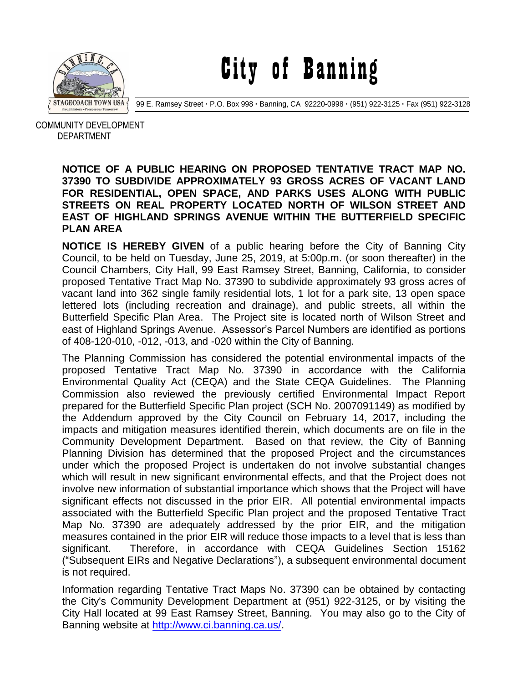

City of Banning

99 E. Ramsey Street **·** P.O. Box 998 **·** Banning, CA 92220-0998 **·** (951) 922-3125 **·** Fax (951) 922-3128

 COMMUNITY DEVELOPMENT DEPARTMENT

## **NOTICE OF A PUBLIC HEARING ON PROPOSED TENTATIVE TRACT MAP NO. 37390 TO SUBDIVIDE APPROXIMATELY 93 GROSS ACRES OF VACANT LAND FOR RESIDENTIAL, OPEN SPACE, AND PARKS USES ALONG WITH PUBLIC STREETS ON REAL PROPERTY LOCATED NORTH OF WILSON STREET AND EAST OF HIGHLAND SPRINGS AVENUE WITHIN THE BUTTERFIELD SPECIFIC PLAN AREA**

**NOTICE IS HEREBY GIVEN** of a public hearing before the City of Banning City Council, to be held on Tuesday, June 25, 2019, at 5:00p.m. (or soon thereafter) in the Council Chambers, City Hall, 99 East Ramsey Street, Banning, California, to consider proposed Tentative Tract Map No. 37390 to subdivide approximately 93 gross acres of vacant land into 362 single family residential lots, 1 lot for a park site, 13 open space lettered lots (including recreation and drainage), and public streets, all within the Butterfield Specific Plan Area. The Project site is located north of Wilson Street and east of Highland Springs Avenue. Assessor's Parcel Numbers are identified as portions of 408-120-010, -012, -013, and -020 within the City of Banning.

The Planning Commission has considered the potential environmental impacts of the proposed Tentative Tract Map No. 37390 in accordance with the California Environmental Quality Act (CEQA) and the State CEQA Guidelines. The Planning Commission also reviewed the previously certified Environmental Impact Report prepared for the Butterfield Specific Plan project (SCH No. 2007091149) as modified by the Addendum approved by the City Council on February 14, 2017, including the impacts and mitigation measures identified therein, which documents are on file in the Community Development Department. Based on that review, the City of Banning Planning Division has determined that the proposed Project and the circumstances under which the proposed Project is undertaken do not involve substantial changes which will result in new significant environmental effects, and that the Project does not involve new information of substantial importance which shows that the Project will have significant effects not discussed in the prior EIR. All potential environmental impacts associated with the Butterfield Specific Plan project and the proposed Tentative Tract Map No. 37390 are adequately addressed by the prior EIR, and the mitigation measures contained in the prior EIR will reduce those impacts to a level that is less than significant. Therefore, in accordance with CEQA Guidelines Section 15162 ("Subsequent EIRs and Negative Declarations"), a subsequent environmental document is not required.

Information regarding Tentative Tract Maps No. 37390 can be obtained by contacting the City's Community Development Department at (951) 922-3125, or by visiting the City Hall located at 99 East Ramsey Street, Banning. You may also go to the City of Banning website at [http://www.ci.banning.ca.us/.](http://www.ci.banning.ca.us/)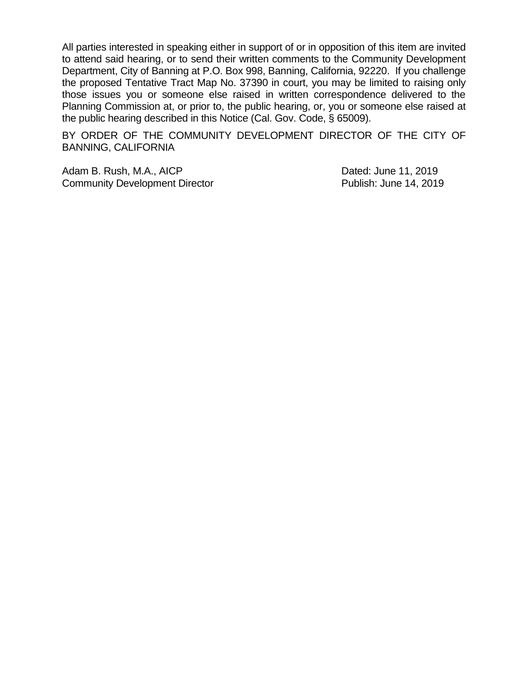All parties interested in speaking either in support of or in opposition of this item are invited to attend said hearing, or to send their written comments to the Community Development Department, City of Banning at P.O. Box 998, Banning, California, 92220. If you challenge the proposed Tentative Tract Map No. 37390 in court, you may be limited to raising only those issues you or someone else raised in written correspondence delivered to the Planning Commission at, or prior to, the public hearing, or, you or someone else raised at the public hearing described in this Notice (Cal. Gov. Code, § 65009).

BY ORDER OF THE COMMUNITY DEVELOPMENT DIRECTOR OF THE CITY OF BANNING, CALIFORNIA

Adam B. Rush, M.A., AICP **Dated:** June 11, 2019 Community Development Director **Publish: June 14, 2019**